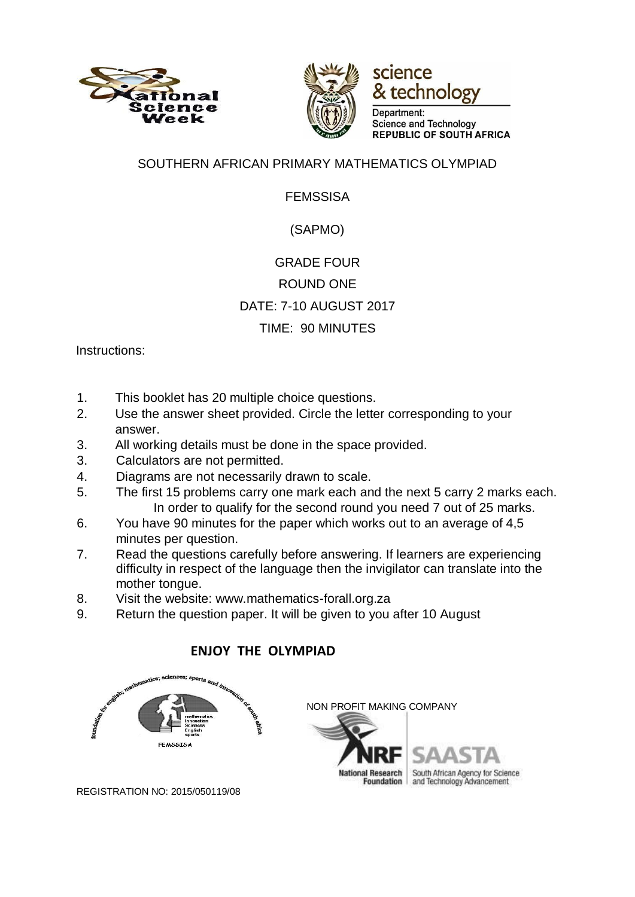





Department: **Science and Technology REPUBLIC OF SOUTH AFRICA** 

#### SOUTHERN AFRICAN PRIMARY MATHEMATICS OLYMPIAD

### FEMSSISA

## (SAPMO)

# GRADE FOUR ROUND ONE DATE: 7-10 AUGUST 2017 TIME: 90 MINUTES

Instructions:

- 1. This booklet has 20 multiple choice questions.
- 2. Use the answer sheet provided. Circle the letter corresponding to your answer.
- 3. All working details must be done in the space provided.
- 3. Calculators are not permitted.
- 4. Diagrams are not necessarily drawn to scale.
- 5. The first 15 problems carry one mark each and the next 5 carry 2 marks each. In order to qualify for the second round you need 7 out of 25 marks.
- 6. You have 90 minutes for the paper which works out to an average of 4,5 minutes per question.
- 7. Read the questions carefully before answering. If learners are experiencing difficulty in respect of the language then the invigilator can translate into the mother tongue.
- 8. Visit the website: www.mathematics-forall.org.za
- 9. Return the question paper. It will be given to you after 10 August

## **ENJOY THE OLYMPIAD**





REGISTRATION NO: 2015/050119/08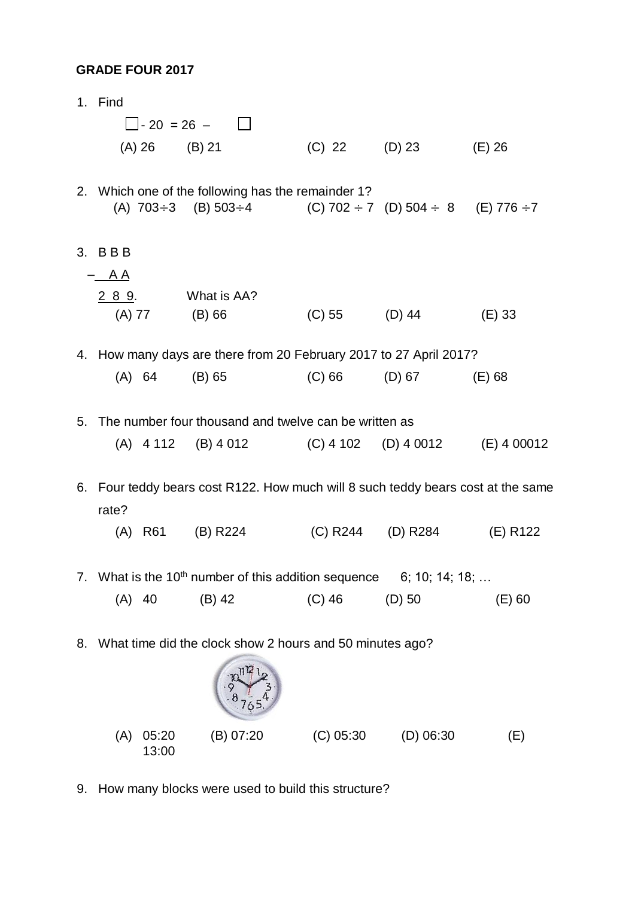#### **GRADE FOUR 2017**

|    | 1. Find                                                  |                 |                                                                                                                                            |             |                      |          |
|----|----------------------------------------------------------|-----------------|--------------------------------------------------------------------------------------------------------------------------------------------|-------------|----------------------|----------|
|    |                                                          |                 | $\Box$ - 20 = 26 - $\Box$                                                                                                                  |             |                      |          |
|    |                                                          | $(A) 26$ (B) 21 |                                                                                                                                            |             | (C) 22 (D) 23 (E) 26 |          |
|    |                                                          |                 | 2. Which one of the following has the remainder 1?<br>(A) $703 \div 3$ (B) $503 \div 4$ (C) $702 \div 7$ (D) $504 \div 8$ (E) $776 \div 7$ |             |                      |          |
|    | 3. BBB                                                   |                 |                                                                                                                                            |             |                      |          |
|    | $-$ AA                                                   |                 |                                                                                                                                            |             |                      |          |
|    |                                                          | $(A) 77$ (B) 66 | 2 8 9. What is AA?                                                                                                                         |             | $(C) 55$ $(D) 44$    | $(E)$ 33 |
|    |                                                          |                 | 4. How many days are there from 20 February 2017 to 27 April 2017?                                                                         |             |                      |          |
|    |                                                          | (A) 64          | $(B)$ 65                                                                                                                                   | (C) 66      | (D) 67               | $(E)$ 68 |
|    |                                                          |                 | 5. The number four thousand and twelve can be written as                                                                                   |             |                      |          |
|    |                                                          |                 | (A) $4112$ (B) $4012$ (C) $4102$ (D) $40012$ (E) $400012$                                                                                  |             |                      |          |
| 6. | rate?                                                    |                 | Four teddy bears cost R122. How much will 8 such teddy bears cost at the same                                                              |             |                      |          |
|    |                                                          |                 | (A) R61 (B) R224                                                                                                                           |             | (C) R244 (D) R284    | (E) R122 |
|    |                                                          |                 | 7. What is the 10 <sup>th</sup> number of this addition sequence $\qquad$ 6; 10; 14; 18;                                                   |             |                      |          |
|    | $(A)$ 40                                                 |                 | $(B)$ 42                                                                                                                                   | $(C)$ 46    | $(D)$ 50             | $(E)$ 60 |
| 8. | What time did the clock show 2 hours and 50 minutes ago? |                 |                                                                                                                                            |             |                      |          |
|    | (A)                                                      | 05:20           | (B) 07:20                                                                                                                                  | $(C)$ 05:30 | $(D)$ 06:30          | (E)      |

9. How many blocks were used to build this structure?

13:00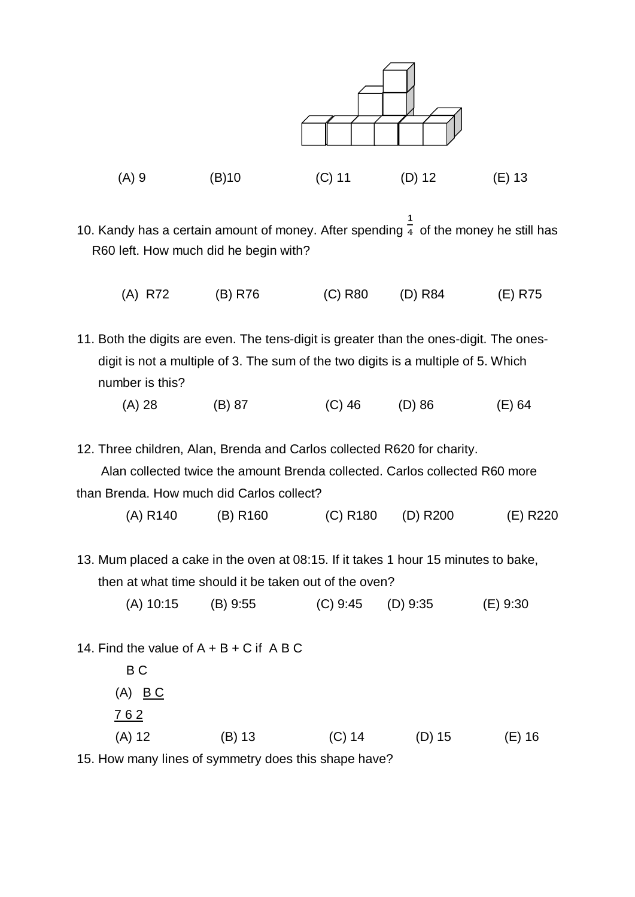

10. Kandy has a certain amount of money. After spending  $\frac{1}{4}$  of the money he still has R60 left. How much did he begin with?

(A) R72 (B) R76 (C) R80 (D) R84 (E) R75

11. Both the digits are even. The tens-digit is greater than the ones-digit. The onesdigit is not a multiple of 3. The sum of the two digits is a multiple of 5. Which number is this?

(A) 28 (B) 87 (C) 46 (D) 86 (E) 64

12. Three children, Alan, Brenda and Carlos collected R620 for charity.

 Alan collected twice the amount Brenda collected. Carlos collected R60 more than Brenda. How much did Carlos collect?

- (A) R140 (B) R160 (C) R180 (D) R200 (E) R220
- 13. Mum placed a cake in the oven at 08:15. If it takes 1 hour 15 minutes to bake, then at what time should it be taken out of the oven?
	- (A) 10:15 (B) 9:55 (C) 9:45 (D) 9:35 (E) 9:30

14. Find the value of  $A + B + C$  if  $A B C$ 

|                | $\overline{AB}$ . I have accessed the completence of a constant and contact the contract of $\overline{A}$ |          |          |          |
|----------------|------------------------------------------------------------------------------------------------------------|----------|----------|----------|
| (A) 12         | $(B)$ 13                                                                                                   | $(C)$ 14 | $(D)$ 15 | $(E)$ 16 |
| 762            |                                                                                                            |          |          |          |
| $(A)$ BC       |                                                                                                            |          |          |          |
| B <sub>C</sub> |                                                                                                            |          |          |          |

15. How many lines of symmetry does this shape have?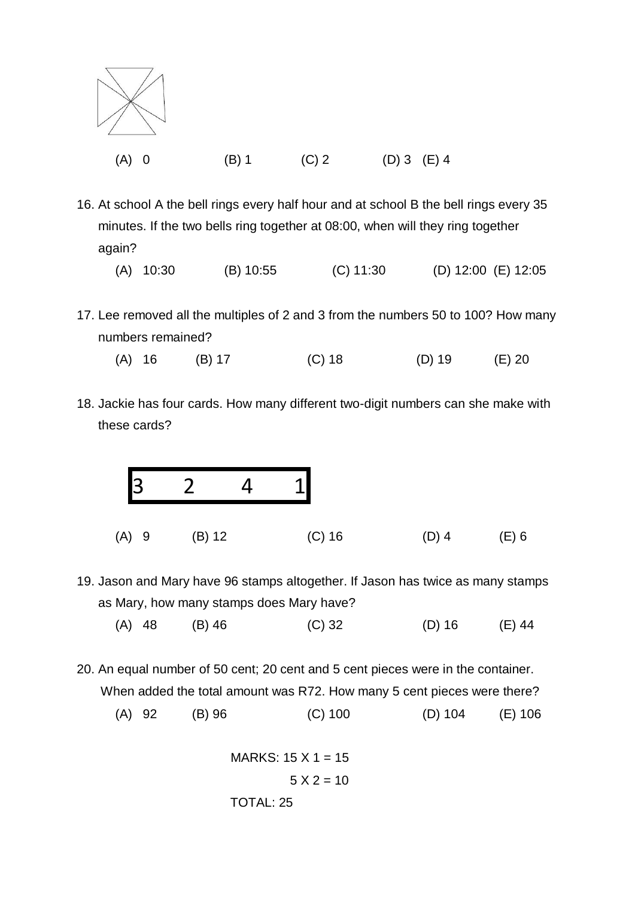

- 16. At school A the bell rings every half hour and at school B the bell rings every 35 minutes. If the two bells ring together at 08:00, when will they ring together again?
	- (A) 10:30 (B) 10:55 (C) 11:30 (D) 12:00 (E) 12:05
- 17. Lee removed all the multiples of 2 and 3 from the numbers 50 to 100? How many numbers remained?
	- (A) 16 (B) 17 (C) 18 (D) 19 (E) 20
- 18. Jackie has four cards. How many different two-digit numbers can she make with these cards?



- 19. Jason and Mary have 96 stamps altogether. If Jason has twice as many stamps as Mary, how many stamps does Mary have?
	- (A) 48 (B) 46 (C) 32 (D) 16 (E) 44
- 20. An equal number of 50 cent; 20 cent and 5 cent pieces were in the container. When added the total amount was R72. How many 5 cent pieces were there? (A) 92 (B) 96 (C) 100 (D) 104 (E) 106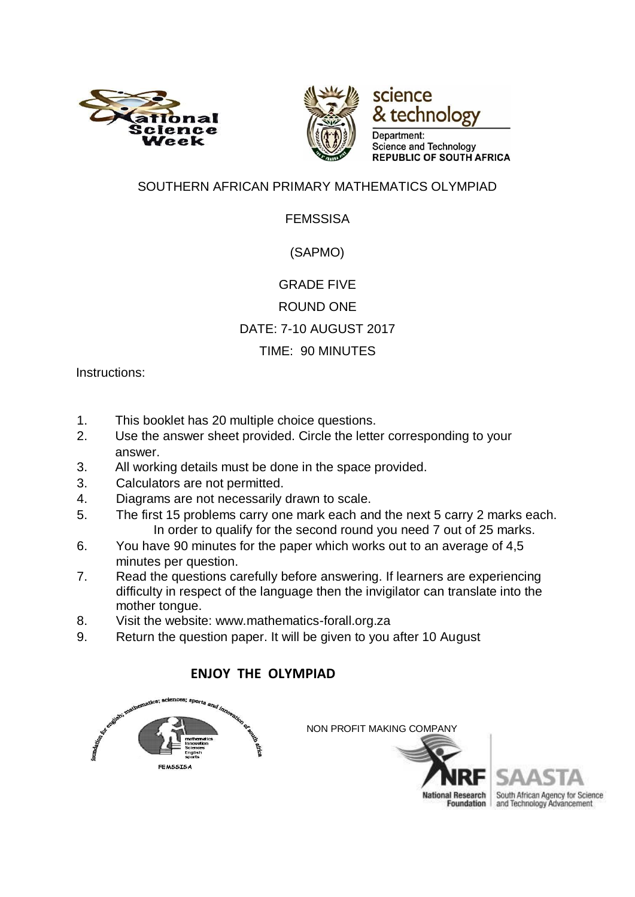



science & technology

Department: Science and Technology **REPUBLIC OF SOUTH AFRICA** 

### SOUTHERN AFRICAN PRIMARY MATHEMATICS OLYMPIAD

### FEMSSISA

### (SAPMO)

# GRADE FIVE ROUND ONE DATE: 7-10 AUGUST 2017 TIME: 90 MINUTES

Instructions:

- 1. This booklet has 20 multiple choice questions.
- 2. Use the answer sheet provided. Circle the letter corresponding to your answer.
- 3. All working details must be done in the space provided.
- 3. Calculators are not permitted.
- 4. Diagrams are not necessarily drawn to scale.
- 5. The first 15 problems carry one mark each and the next 5 carry 2 marks each. In order to qualify for the second round you need 7 out of 25 marks.
- 6. You have 90 minutes for the paper which works out to an average of 4,5 minutes per question.
- 7. Read the questions carefully before answering. If learners are experiencing difficulty in respect of the language then the invigilator can translate into the mother tongue.
- 8. Visit the website: www.mathematics-forall.org.za
- 9. Return the question paper. It will be given to you after 10 August

### **ENJOY THE OLYMPIAD**



South African Agency for Science and Technology Advancement

**National Research Foundation**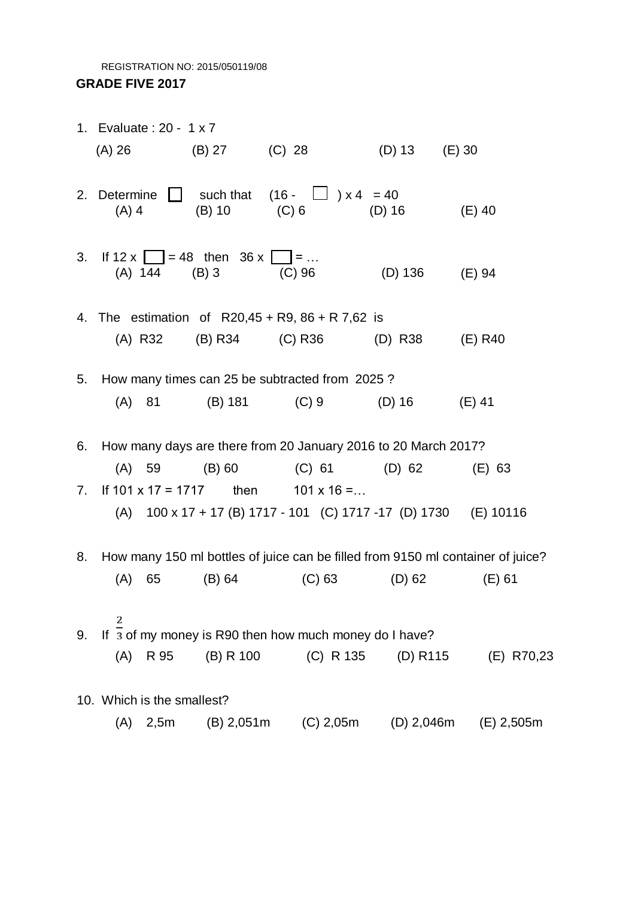REGISTRATION NO: 2015/050119/08 **GRADE FIVE 2017** 

|    | 1. Evaluate: 20 - 1 x 7          |                      |                                                                               |                |                                                                                 |
|----|----------------------------------|----------------------|-------------------------------------------------------------------------------|----------------|---------------------------------------------------------------------------------|
|    |                                  |                      | (A) 26 		 (B) 27 		 (C) 28 		 (D) 13 	 (E) 30                                 |                |                                                                                 |
|    | $(A)$ 4                          |                      | 2. Determine $\Box$ such that $(16 - \Box) \times 4 = 40$<br>$(B) 10$ $(C) 6$ | $(D)$ 16       | $(E)$ 40                                                                        |
|    | 3. If $12x = 48$ then $36x = 36$ | (A) 144 (B) 3 (C) 96 |                                                                               | (D) 136 (E) 94 |                                                                                 |
|    |                                  |                      | 4. The estimation of $R20,45 + R9, 86 + R7,62$ is                             |                |                                                                                 |
|    |                                  |                      | (A) R32 (B) R34 (C) R36 (D) R38 (E) R40                                       |                |                                                                                 |
|    |                                  |                      | 5. How many times can 25 be subtracted from 2025?                             |                |                                                                                 |
|    |                                  |                      | (A) 81 (B) 181 (C) 9 (D) 16                                                   |                | $(E)$ 41                                                                        |
| 6. |                                  |                      | How many days are there from 20 January 2016 to 20 March 2017?                |                |                                                                                 |
|    | (A)                              |                      | 59 (B) 60 (C) 61 (D) 62 (E) 63                                                |                |                                                                                 |
| 7. |                                  |                      | If $101 \times 17 = 1717$ then $101 \times 16 = $                             |                |                                                                                 |
|    |                                  |                      | (A) $100 \times 17 + 17$ (B) 1717 - 101 (C) 1717 -17 (D) 1730 (E) 10116       |                |                                                                                 |
| 8. |                                  |                      |                                                                               |                | How many 150 ml bottles of juice can be filled from 9150 ml container of juice? |
|    | (A)<br>65                        | $(B)$ 64             | (C) 63                                                                        | (D) 62         | $(E)$ 61                                                                        |
| 9. | 2                                |                      | If 3 of my money is R90 then how much money do I have?                        |                |                                                                                 |
|    | (A)<br>R 95                      | $(B)$ R 100          | (C) R 135                                                                     | (D) R115       | (E) R70,23                                                                      |
|    | 10. Which is the smallest?       |                      |                                                                               |                |                                                                                 |
|    | 2,5m<br>(A)                      | $(B)$ 2,051m         | $(C)$ 2,05m                                                                   | $(D)$ 2,046m   | $(E)$ 2,505m                                                                    |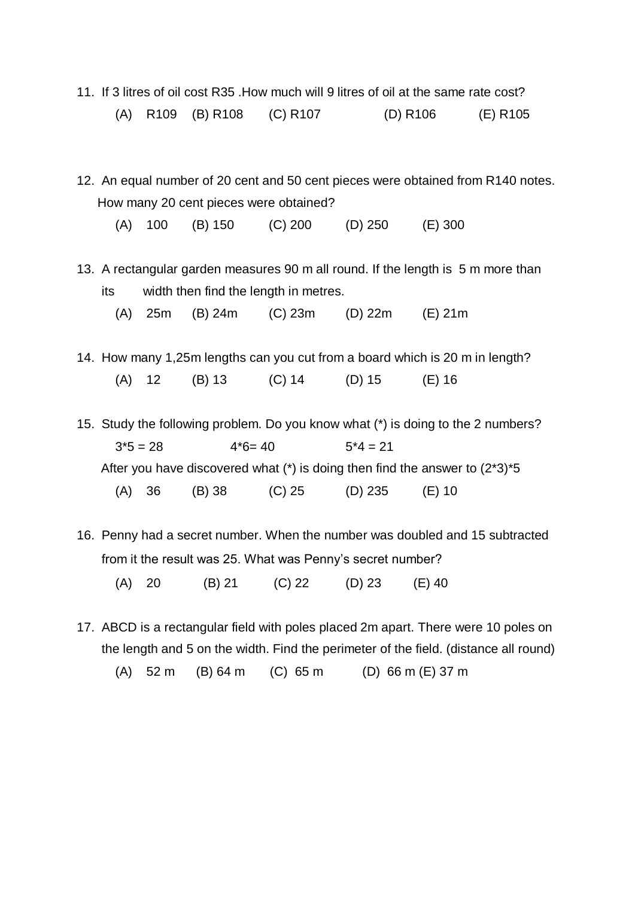- 11. If 3 litres of oil cost R35 .How much will 9 litres of oil at the same rate cost? (A) R109 (B) R108 (C) R107 (D) R106 (E) R105
- 12. An equal number of 20 cent and 50 cent pieces were obtained from R140 notes. How many 20 cent pieces were obtained?

(A) 100 (B) 150 (C) 200 (D) 250 (E) 300

13. A rectangular garden measures 90 m all round. If the length is 5 m more than its width then find the length in metres.

(A) 25m (B) 24m (C) 23m (D) 22m (E) 21m

- 14. How many 1,25m lengths can you cut from a board which is 20 m in length? (A) 12 (B) 13 (C) 14 (D) 15 (E) 16
- 15. Study the following problem. Do you know what (\*) is doing to the 2 numbers?  $3*5 = 28$   $4*6 = 40$   $5*4 = 21$ After you have discovered what  $(*)$  is doing then find the answer to  $(2^*3)^*5$ (A) 36 (B) 38 (C) 25 (D) 235 (E) 10
- 16. Penny had a secret number. When the number was doubled and 15 subtracted from it the result was 25. What was Penny's secret number?

(A) 20 (B) 21 (C) 22 (D) 23 (E) 40

- 17. ABCD is a rectangular field with poles placed 2m apart. There were 10 poles on the length and 5 on the width. Find the perimeter of the field. (distance all round)
	- (A) 52 m (B) 64 m (C) 65 m (D) 66 m (E) 37 m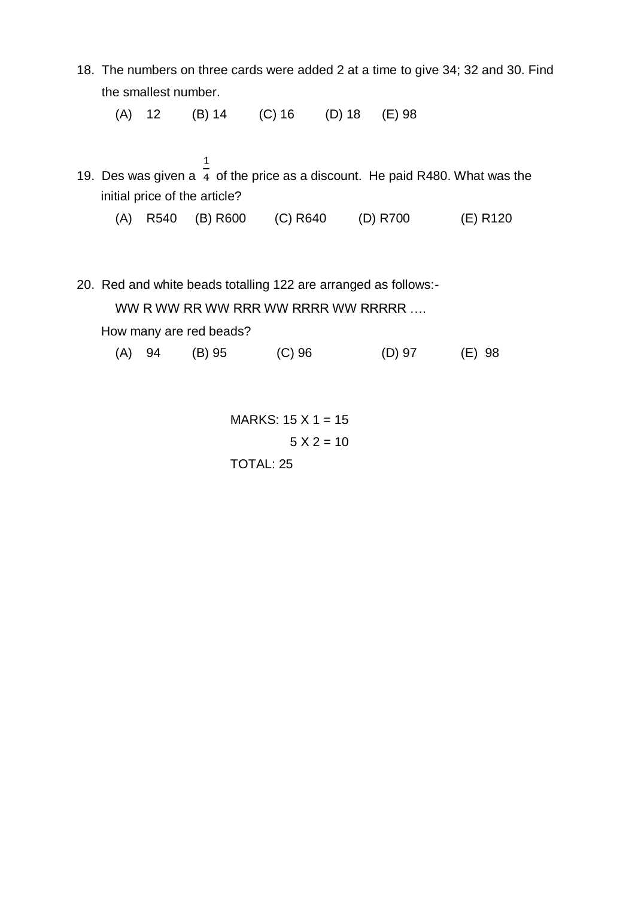18. The numbers on three cards were added 2 at a time to give 34; 32 and 30. Find the smallest number.

(A) 12 (B) 14 (C) 16 (D) 18 (E) 98

- 19. Des was given a  $\frac{1}{4}$  of the price as a discount. He paid R480. What was the initial price of the article?
	- (A) R540 (B) R600 (C) R640 (D) R700 (E) R120
- 20. Red and white beads totalling 122 are arranged as follows:-

WW R WW RR WW RRR WW RRRRR ....

How many are red beads?

(A) 94 (B) 95 (C) 96 (D) 97 (E) 98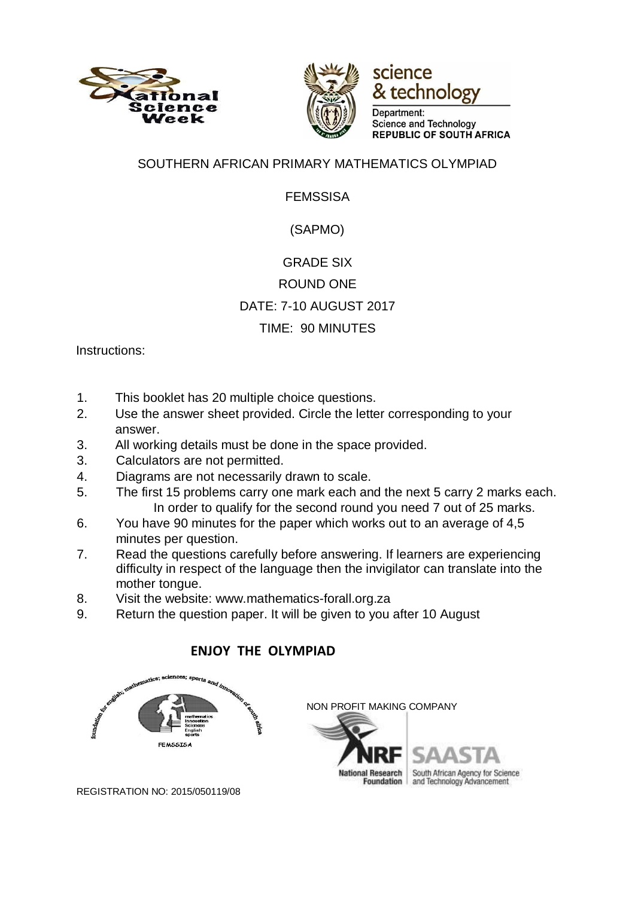





Department: **Science and Technology REPUBLIC OF SOUTH AFRICA** 

#### SOUTHERN AFRICAN PRIMARY MATHEMATICS OLYMPIAD

### FEMSSISA

## (SAPMO)

# GRADE SIX ROUND ONE DATE: 7-10 AUGUST 2017 TIME: 90 MINUTES

Instructions:

- 1. This booklet has 20 multiple choice questions.
- 2. Use the answer sheet provided. Circle the letter corresponding to your answer.
- 3. All working details must be done in the space provided.
- 3. Calculators are not permitted.
- 4. Diagrams are not necessarily drawn to scale.
- 5. The first 15 problems carry one mark each and the next 5 carry 2 marks each. In order to qualify for the second round you need 7 out of 25 marks.
- 6. You have 90 minutes for the paper which works out to an average of 4,5 minutes per question.
- 7. Read the questions carefully before answering. If learners are experiencing difficulty in respect of the language then the invigilator can translate into the mother tongue.
- 8. Visit the website: www.mathematics-forall.org.za
- 9. Return the question paper. It will be given to you after 10 August

## **ENJOY THE OLYMPIAD**





REGISTRATION NO: 2015/050119/08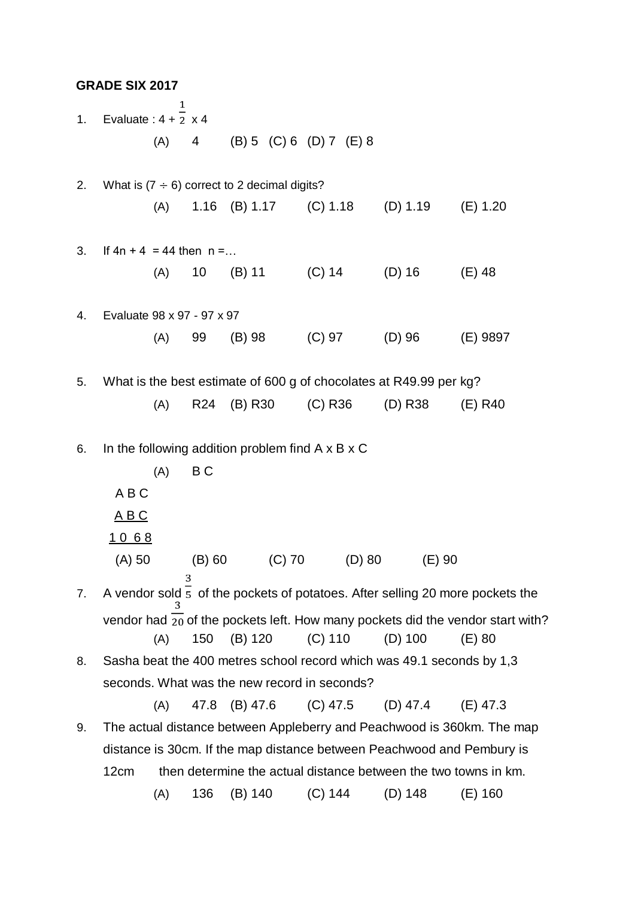| <b>GRADE SIX 2017</b> |
|-----------------------|
|-----------------------|

 $\mathbf{1}$ 1. Evaluate :  $4 + \overline{2} \times 4$ (A) 4 (B) 5 (C) 6 (D) 7 (E) 8 2. What is  $(7 \div 6)$  correct to 2 decimal digits? (A) 1.16 (B) 1.17 (C) 1.18 (D) 1.19 (E) 1.20 3. If  $4n + 4 = 44$  then  $n = ...$ (A) 10 (B) 11 (C) 14 (D) 16 (E) 48 4. Evaluate 98 x 97 - 97 x 97 (A) 99 (B) 98 (C) 97 (D) 96 (E) 9897 5. What is the best estimate of 600 g of chocolates at R49.99 per kg? (A) R24 (B) R30 (C) R36 (D) R38 (E) R40 6. In the following addition problem find A x B x C  $(A)$  B C A B C A B C 1 0 6 8 (A) 50 (B) 60 (C) 70 (D) 80 (E) 90 7. A vendor sold  $\overline{5}$  of the pockets of potatoes. After selling 20 more pockets the vendor had  $\overline{20}$  of the pockets left. How many pockets did the vendor start with? (A) 150 (B) 120 (C) 110 (D) 100 (E) 80 8. Sasha beat the 400 metres school record which was 49.1 seconds by 1,3 seconds. What was the new record in seconds? (A) 47.8 (B) 47.6 (C) 47.5 (D) 47.4 (E) 47.3 9. The actual distance between Appleberry and Peachwood is 360km. The map distance is 30cm. If the map distance between Peachwood and Pembury is 12cm then determine the actual distance between the two towns in km.

(A) 136 (B) 140 (C) 144 (D) 148 (E) 160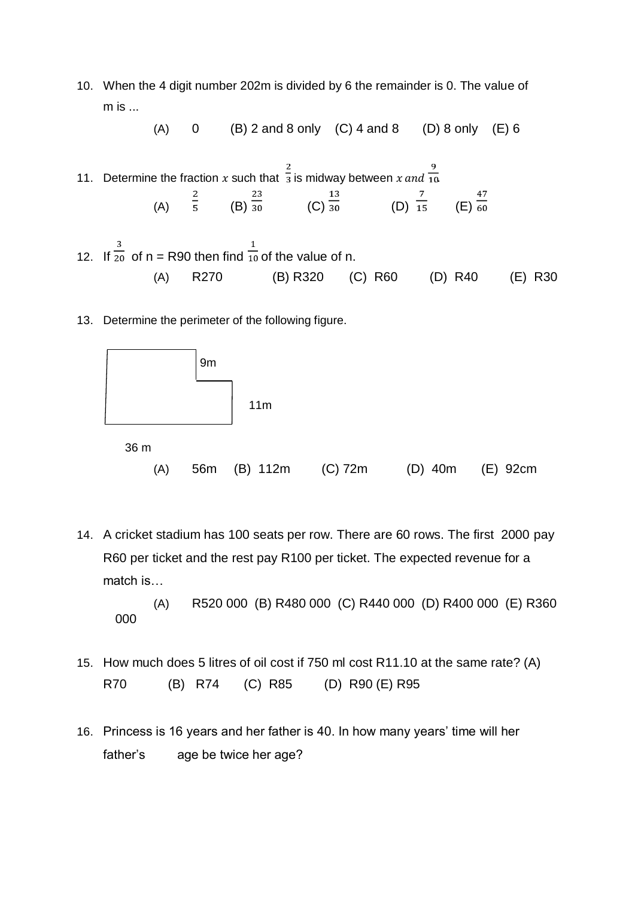10. When the 4 digit number 202m is divided by 6 the remainder is 0. The value of m is ...

(A)  $0$  (B) 2 and 8 only (C) 4 and 8 (D) 8 only (E) 6

- 11. Determine the fraction x such that  $\frac{2}{3}$  is midway between x and  $\frac{9}{10}$ . (A)  $\frac{2}{5}$  (B)  $\frac{23}{30}$  (C)  $\frac{13}{30}$  (D)  $\frac{7}{15}$  (E)  $\frac{47}{60}$ 13 23 47
- 12. If  $\overline{20}$  of n = R90 then find  $\overline{10}$  of the value of n. (A) R270 (B) R320 (C) R60 (D) R40 (E) R30
- 13. Determine the perimeter of the following figure.



14. A cricket stadium has 100 seats per row. There are 60 rows. The first 2000 pay R60 per ticket and the rest pay R100 per ticket. The expected revenue for a match is…

(A) R520 000 (B) R480 000 (C) R440 000 (D) R400 000 (E) R360 000

- 15. How much does 5 litres of oil cost if 750 ml cost R11.10 at the same rate? (A) R70 (B) R74 (C) R85 (D) R90 (E) R95
- 16. Princess is 16 years and her father is 40. In how many years' time will her father's age be twice her age?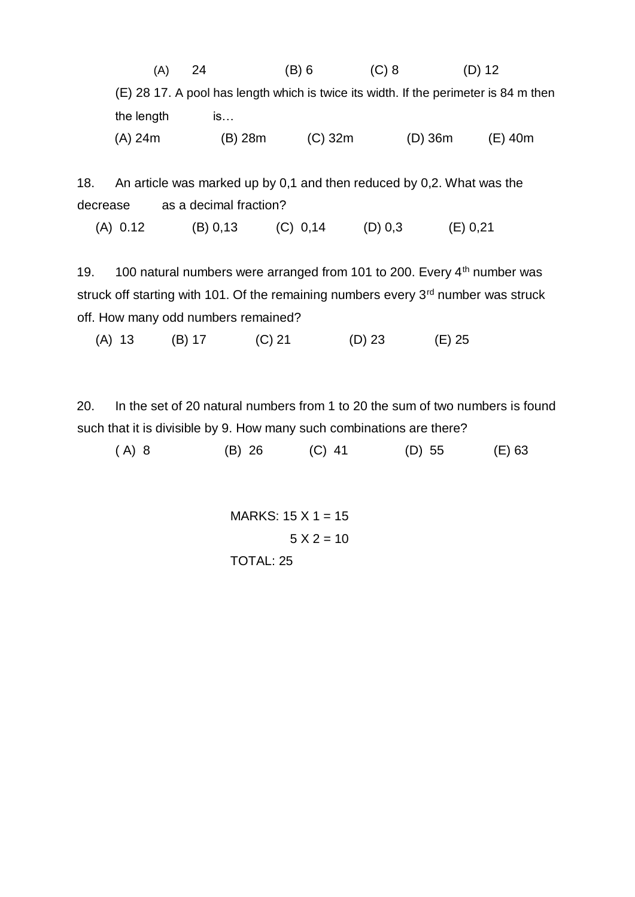| (A)        | 24      | $(B)$ 6   | $(C)$ 8   | $(D)$ 12                                                                             |  |
|------------|---------|-----------|-----------|--------------------------------------------------------------------------------------|--|
|            |         |           |           | (E) 28 17. A pool has length which is twice its width. If the perimeter is 84 m then |  |
| the length | IS      |           |           |                                                                                      |  |
| (A) 24m    | (B) 28m | $(C)$ 32m | $(D)$ 36m | (E) 40m                                                                              |  |

18. An article was marked up by 0,1 and then reduced by 0,2. What was the decrease as a decimal fraction?

(A) 0.12 (B) 0,13 (C) 0,14 (D) 0,3 (E) 0,21

19. 100 natural numbers were arranged from 101 to 200. Every 4<sup>th</sup> number was struck off starting with 101. Of the remaining numbers every 3<sup>rd</sup> number was struck off. How many odd numbers remained?

(A) 13 (B) 17 (C) 21 (D) 23 (E) 25

20. In the set of 20 natural numbers from 1 to 20 the sum of two numbers is found such that it is divisible by 9. How many such combinations are there?

| (D) 55<br>(B) 26<br>$(C)$ 41 | $(A)$ 8 | $(E)$ 63 |
|------------------------------|---------|----------|
|------------------------------|---------|----------|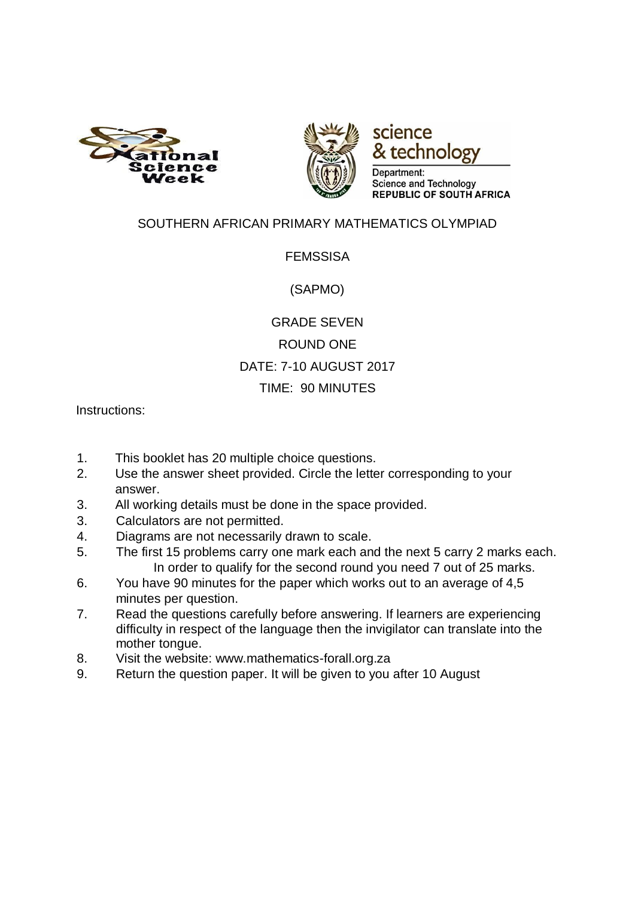





## SOUTHERN AFRICAN PRIMARY MATHEMATICS OLYMPIAD

#### FEMSSISA

(SAPMO)

## GRADE SEVEN ROUND ONE DATE: 7-10 AUGUST 2017 TIME: 90 MINUTES

Instructions:

- 1. This booklet has 20 multiple choice questions.
- 2. Use the answer sheet provided. Circle the letter corresponding to your answer.
- 3. All working details must be done in the space provided.
- 3. Calculators are not permitted.
- 4. Diagrams are not necessarily drawn to scale.
- 5. The first 15 problems carry one mark each and the next 5 carry 2 marks each. In order to qualify for the second round you need 7 out of 25 marks.
- 6. You have 90 minutes for the paper which works out to an average of 4,5 minutes per question.
- 7. Read the questions carefully before answering. If learners are experiencing difficulty in respect of the language then the invigilator can translate into the mother tongue.
- 8. Visit the website: www.mathematics-forall.org.za
- 9. Return the question paper. It will be given to you after 10 August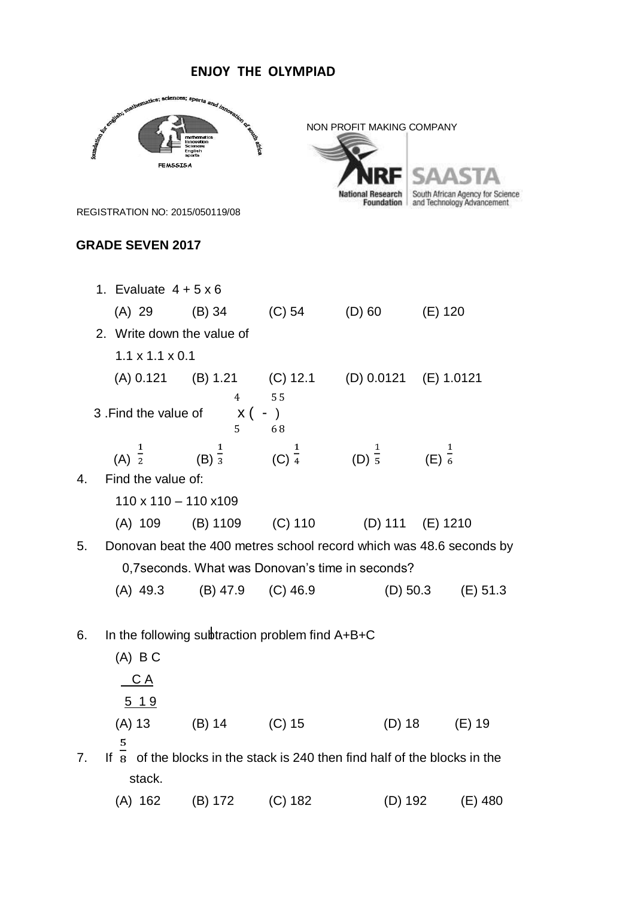#### **ENJOY THE OLYMPIAD**

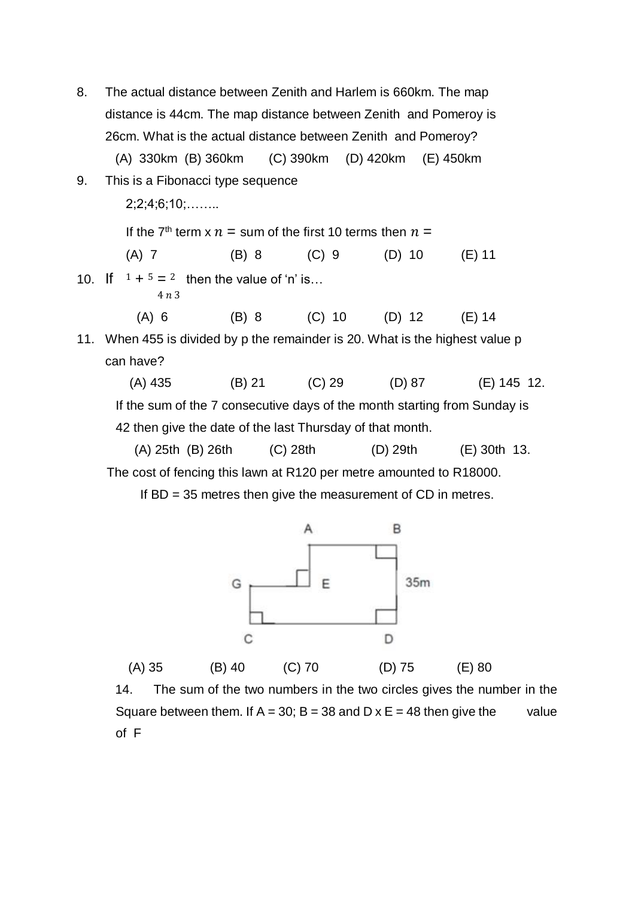8. The actual distance between Zenith and Harlem is 660km. The map distance is 44cm. The map distance between Zenith and Pomeroy is 26cm. What is the actual distance between Zenith and Pomeroy? (A) 330km (B) 360km (C) 390km (D) 420km (E) 450km 9. This is a Fibonacci type sequence 2;2;4;6;10;…….. If the 7<sup>th</sup> term x  $n =$  sum of the first 10 terms then  $n =$  (A) 7 (B) 8 (C) 9 (D) 10 (E) 11 10. If  $1 + 5 = 2$  then the value of 'n' is...  $4 n 3$  (A) 6 (B) 8 (C) 10 (D) 12 (E) 14 11. When 455 is divided by p the remainder is 20. What is the highest value p can have? (A) 435 (B) 21 (C) 29 (D) 87 (E) 145 12. If the sum of the 7 consecutive days of the month starting from Sunday is 42 then give the date of the last Thursday of that month. (A) 25th (B) 26th (C) 28th (D) 29th (E) 30th 13.

The cost of fencing this lawn at R120 per metre amounted to R18000.

If BD = 35 metres then give the measurement of CD in metres.



14. The sum of the two numbers in the two circles gives the number in the Square between them. If  $A = 30$ ; B = 38 and D x E = 48 then give the value of F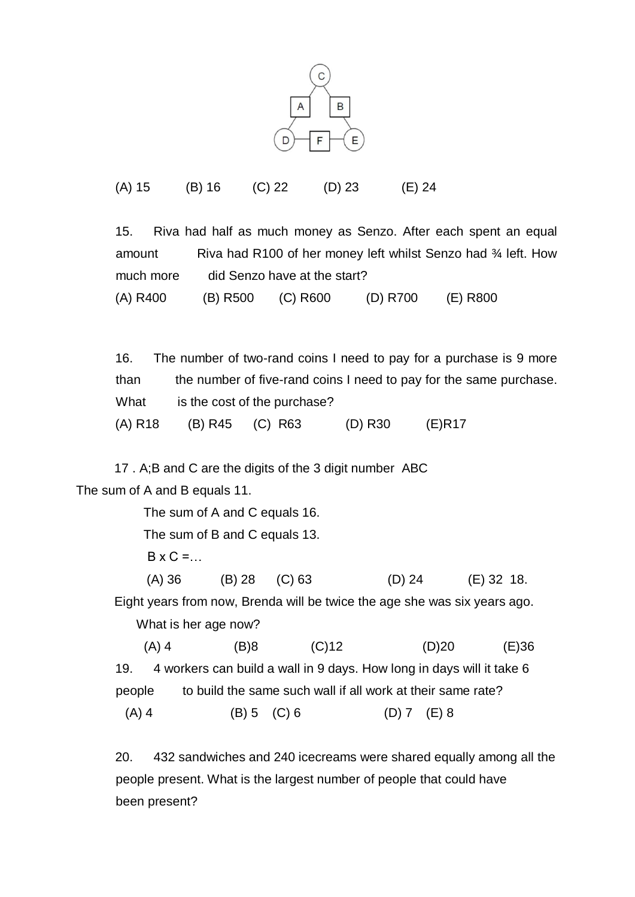

(A) 15 (B) 16 (C) 22 (D) 23 (E) 24

15. Riva had half as much money as Senzo. After each spent an equal amount Riva had R100 of her money left whilst Senzo had 34 left. How much more did Senzo have at the start? (A) R400 (B) R500 (C) R600 (D) R700 (E) R800

16. The number of two-rand coins I need to pay for a purchase is 9 more than the number of five-rand coins I need to pay for the same purchase. What is the cost of the purchase? (A) R18 (B) R45 (C) R63 (D) R30 (E)R17

17 . A;B and C are the digits of the 3 digit number ABC The sum of A and B equals 11.

> The sum of A and C equals 16. The sum of B and C equals 13.  $B \times C =$  (A) 36 (B) 28 (C) 63 (D) 24 (E) 32 18. Eight years from now, Brenda will be twice the age she was six years ago. What is her age now? (A) 4 (B)8 (C)12 (D)20 (E)36

> 19. 4 workers can build a wall in 9 days. How long in days will it take 6 people to build the same such wall if all work at their same rate? (A) 4 (B) 5 (C) 6 (D) 7 (E) 8

20. 432 sandwiches and 240 icecreams were shared equally among all the people present. What is the largest number of people that could have been present?